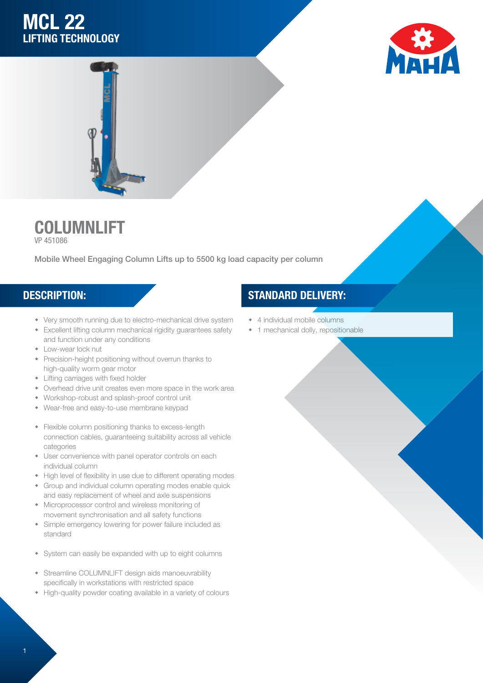# MCL 22 LIFTING TECHNOLOGY





### COLUMNLIFT VP 451086

Mobile Wheel Engaging Column Lifts up to 5500 kg load capacity per column

- Very smooth running due to electro-mechanical drive system
- **\*** Excellent lifting column mechanical rigidity guarantees safety and function under any conditions
- Low-wear lock nut
- Precision-height positioning without overrun thanks to high-quality worm gear motor
- $\bullet$  Lifting carriages with fixed holder
- Overhead drive unit creates even more space in the work area
- w Workshop-robust and splash-proof control unit
- Wear-free and easy-to-use membrane keypad
- Flexible column positioning thanks to excess-length connection cables, guaranteeing suitability across all vehicle categories
- User convenience with panel operator controls on each individual column
- High level of flexibility in use due to different operating modes
- Group and individual column operating modes enable quick and easy replacement of wheel and axle suspensions
- Microprocessor control and wireless monitoring of movement synchronisation and all safety functions
- Simple emergency lowering for power failure included as standard
- System can easily be expanded with up to eight columns
- Streamline COLUMNLIFT design aids manoeuvrability specifically in workstations with restricted space
- High-quality powder coating available in a variety of colours

## DESCRIPTION: STANDARD DELIVERY:

- 4 individual mobile columns
- 1 mechanical dolly, repositionable